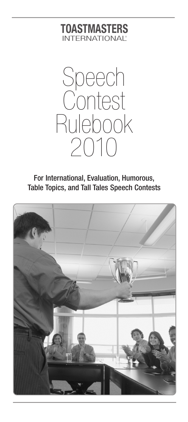## **TOASTMASTERS** INTERNATIONAL<sup>®</sup>



For International, Evaluation, Humorous, Table Topics, and Tall Tales Speech Contests

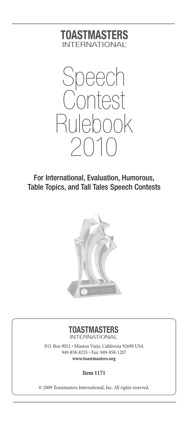## **TOASTMASTERS** INTERNATIONAL<sup>®</sup>



For International, Evaluation, Humorous, Table Topics, and Tall Tales Speech Contests



#### **TOASTMASTERS** INTERNATIONAL<sup>®</sup>

P.O. Box 9052 • Mission Viejo, California 92690 USA 949-858-8255 • Fax: 949-858-1207 **www.toastmasters.org**

**Item 1171**

© 2009 Toastmasters International, Inc. All rights reserved.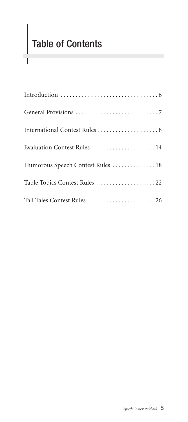# Table of Contents

1

| Humorous Speech Contest Rules  18 |
|-----------------------------------|
|                                   |
| Tall Tales Contest Rules  26      |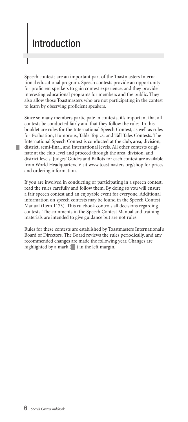## Introduction

Speech contests are an important part of the Toastmasters International educational program. Speech contests provide an opportunity for proficient speakers to gain contest experience, and they provide interesting educational programs for members and the public. They also allow those Toastmasters who are not participating in the contest to learn by observing proficient speakers.

Since so many members participate in contests, it's important that all contests be conducted fairly and that they follow the rules. In this booklet are rules for the International Speech Contest, as well as rules for Evaluation, Humorous, Table Topics, and Tall Tales Contests. The International Speech Contest is conducted at the club, area, division, district, semi-final, and International levels. All other contests originate at the club level and proceed through the area, division, and district levels. Judges' Guides and Ballots for each contest are available from World Headquarters. Visit www.toastmasters.org/shop for prices and ordering information.

If you are involved in conducting or participating in a speech contest, read the rules carefully and follow them. By doing so you will ensure a fair speech contest and an enjoyable event for everyone. Additional information on speech contests may be found in the Speech Contest Manual (Item 1173). This rulebook controls all decisions regarding contests. The comments in the Speech Contest Manual and training materials are intended to give guidance but are not rules.

Rules for these contests are established by Toastmasters International's Board of Directors. The Board reviews the rules periodically, and any recommended changes are made the following year. Changes are highlighted by a mark  $(\blacksquare)$  in the left margin.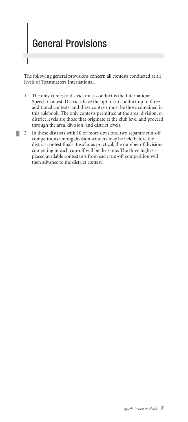## General Provisions

H.

The following general provisions concern all contests conducted at all levels of Toastmasters International.

- 1. The only contest a district must conduct is the International Speech Contest. Districts have the option to conduct up to three additional contests, and these contests must be those contained in this rulebook. The only contests permitted at the area, division, or district levels are those that originate at the club level and proceed through the area, division, and district levels.
- 2. In those districts with 10 or more divisions, two separate run-off competitions among division winners may be held before the district contest finals. Insofar as practical, the number of divisions competing in each run-off will be the same. The three highestplaced available contestants from each run-off competition will then advance to the district contest.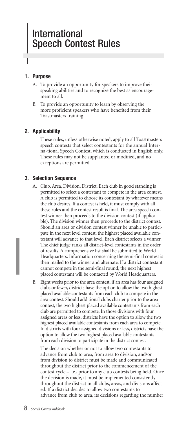#### **1. Purpose**

- A. To provide an opportunity for speakers to improve their speaking abilities and to recognize the best as encouragement to all.
- B. To provide an opportunity to learn by observing the more proficient speakers who have benefited from their Toastmasters training.

#### **2. Applicability**

These rules, unless otherwise noted, apply to all Toastmasters speech contests that select contestants for the annual Interna-tional Speech Contest, which is conducted in English only. These rules may not be supplanted or modified, and no exceptions are permitted.

#### **3. Selection Sequence**

- A. Club, Area, Division, District. Each club in good standing is permitted to select a contestant to compete in the area contest. A club is permitted to choose its contestant by whatever means the club desires. If a contest is held, it must comply with all these rules and the contest result is final. The area speech contest winner then proceeds to the division contest (if applicable). The division winner then proceeds to the district contest. Should an area or division contest winner be unable to participate in the next level contest, the highest placed available contestant will advance to that level. Each district selects a winner. The chief judge ranks all district-level contestants in the order of results. A comprehensive list shall be submitted to World Headquarters. Information concerning the semi-final contest is then mailed to the winner and alternate. If a district contestant cannot compete in the semi-final round, the next highest placed contestant will be contacted by World Headquarters.
- B. Eight weeks prior to the area contest, if an area has four assigned clubs or fewer, districts have the option to allow the two highest placed available contestants from each club to compete in the area contest. Should additional clubs charter prior to the area contest, the two highest placed available contestants from each club are permitted to compete. In those divisions with four assigned areas or less, districts have the option to allow the two highest placed available contestants from each area to compete. In districts with four assigned divisions or less, districts have the option to allow the two highest placed available contestants from each division to participate in the district contest.

The decision whether or not to allow two contestants to advance from club to area, from area to division, and/or from division to district must be made and communicated throughout the district prior to the commencement of the contest cycle – i.e., prior to any club contests being held. Once the decision is made, it must be implemented consistently throughout the district in all clubs, areas, and divisions affected. If a district decides to allow two contestants to advance from club to area, its decisions regarding the number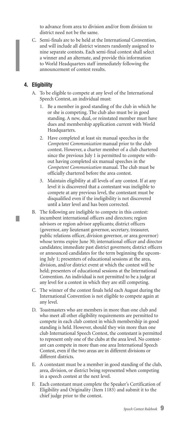to advance from area to division and/or from division to district need not be the same.

C. Semi-finals are to be held at the International Convention, and will include all district winners randomly assigned to nine separate contests. Each semi-final contest shall select a winner and an alternate, and provide this information to World Headquarters staff immediately following the announcement of contest results.

#### **4. Eligibility**

τ

- A. To be eligible to compete at any level of the International Speech Contest, an individual must:
	- Be a member in good standing of the club in which he or she is competing. The club also must be in good standing. A new, dual, or reinstated member must have dues and membership application current with World Headquarters.
	- 2. Have completed at least six manual speeches in the *Competent Communication* manual prior to the club contest. However, a charter member of a club chartered since the previous July 1 is permitted to compete without having completed six manual speeches in the *Competent Communication* manual. The club must be officially chartered before the area contest.
	- 3. Maintain eligibility at all levels of any contest. If at any level it is discovered that a contestant was ineligible to compete at any previous level, the contestant must be disqualified even if the ineligibility is not discovered until a later level and has been corrected.
- B. The following are ineligible to compete in this contest: incumbent international officers and directors; region advisors or region advisor applicants; district officers (governor, any lieutenant governor, secretary, treasurer, public relations officer, division governor, or area governor) whose terms expire June 30; international officer and director candidates; immediate past district governors; district officers or announced candidates for the term beginning the upcoming July 1; presenters of educational sessions at the area, division, and/or district event at which the contest will be held; presenters of educational sessions at the International Convention. An individual is not permitted to be a judge at any level for a contest in which they are still competing.
- C. The winner of the contest finals held each August during the International Convention is not eligible to compete again at any level.
- D. Toastmasters who are members in more than one club and who meet all other eligibility requirements are permitted to compete in each club contest in which membership in good standing is held. However, should they win more than one club International Speech Contest, the contestant is permitted to represent only one of the clubs at the area level. No contestant can compete in more than one area International Speech Contest, even if the two areas are in different divisions or different districts.
- E. A contestant must be a member in good standing of the club, area, division, or district being represented when competing in a speech contest at the next level.
- F. Each contestant must complete the Speaker's Certification of Eligibility and Originality (Item 1183) and submit it to the chief judge prior to the contest.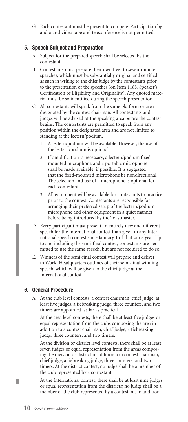G. Each contestant must be present to compete. Participation by audio and video tape and teleconference is not permitted.

#### **5. Speech Subject and Preparation**

- A. Subject for the prepared speech shall be selected by the contestant.
- B. Contestants must prepare their own five- to seven-minute speeches, which must be substantially original and certified as such in writing to the chief judge by the contestants prior to the presentation of the speeches (on Item 1183, Speaker's Certification of Eligibility and Originality). Any quoted material must be so identified during the speech presentation.
- C. All contestants will speak from the same platform or area designated by the contest chairman. All contestants and judges will be advised of the speaking area before the contest begins. The contestants are permitted to speak from any position within the designated area and are not limited to standing at the lectern/podium.
	- 1. A lectern/podium will be available. However, the use of the lectern/podium is optional.
	- 2. If amplification is necessary, a lectern/podium fixedmounted microphone and a portable microphone shall be made available, if possible. It is suggested that the fixed-mounted microphone be nondirectional. The selection and use of a microphone is optional for each contestant.
	- 3. All equipment will be available for contestants to practice prior to the contest. Contestants are responsible for arranging their preferred setup of the lectern/podium microphone and other equipment in a quiet manner before being introduced by the Toastmaster.
- D. Every participant must present an entirely new and different speech for the International contest than given in any International speech contest since January 1 of that same year. Up to and including the semi-final contest, contestants are permitted to use the same speech, but are not required to do so.
- E. Winners of the semi-final contest will prepare and deliver to World Headquarters outlines of their semi-final winning speech, which will be given to the chief judge at the International contest.

#### **6. General Procedure**

A. At the club level contests, a contest chairman, chief judge, at least five judges, a tiebreaking judge, three counters, and two timers are appointed, as far as practical.

At the area level contests, there shall be at least five judges or equal representation from the clubs composing the area in addition to a contest chairman, chief judge, a tiebreaking judge, three counters, and two timers.

At the division or district level contests, there shall be at least seven judges or equal representation from the areas composing the division or district in addition to a contest chairman, chief judge, a tiebreaking judge, three counters, and two timers. At the district contest, no judge shall be a member of the club represented by a contestant.

At the International contest, there shall be at least nine judges or equal representation from the districts; no judge shall be a member of the club represented by a contestant. In addition

П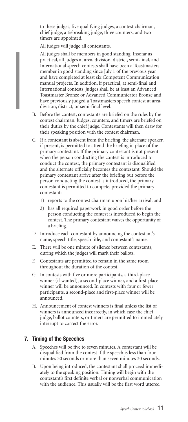to these judges, five qualifying judges, a contest chairman, chief judge, a tiebreaking judge, three counters, and two timers are appointed.

All judges will judge all contestants.

All judges shall be members in good standing. Insofar as practical, all judges at area, division, district, semi-final, and International speech contests shall have been a Toastmasters member in good standing since July 1 of the previous year and have completed at least six Competent Communication manual projects. In addition, if practical, at semi-final and International contests, judges shall be at least an Advanced Toastmaster Bronze or Advanced Communicator Bronze and have previously judged a Toastmasters speech contest at area, division, district, or semi-final level.

- B. Before the contest, contestants are briefed on the rules by the contest chairman. Judges, counters, and timers are briefed on their duties by the chief judge. Contestants will then draw for their speaking position with the contest chairman.
- C. If a contestant is absent from the briefing, the alternate speaker, if present, is permitted to attend the briefing in place of the primary contestant. If the primary contestant is not present when the person conducting the contest is introduced to conduct the contest, the primary contestant is disqualified and the alternate officially becomes the contestant. Should the primary contestant arrive after the briefing but before the person conducting the contest is introduced, the primary contestant is permitted to compete, provided the primary contestant:
	- 1) reports to the contest chairman upon his/her arrival, and
	- 2) has all required paperwork in good order before the person conducting the contest is introduced to begin the contest. The primary contestant waives the opportunity of a briefing.
- D. Introduce each contestant by announcing the contestant's name, speech title, speech title, and contestant's name.
- E. There will be one minute of silence between contestants, during which the judges will mark their ballots.
- F. Contestants are permitted to remain in the same room throughout the duration of the contest.
- G. In contests with five or more participants, a third-place winner (if wanted), a second-place winner, and a first-place winner will be announced. In contests with four or fewer participants, a second-place and first-place winner will be announced.
- H. Announcement of contest winners is final unless the list of winners is announced incorrectly, in which case the chief judge, ballot counters, or timers are permitted to immediately interrupt to correct the error.

#### **7. Timing of the Speeches**

- A. Speeches will be five to seven minutes. A contestant will be disqualified from the contest if the speech is less than four minutes 30 seconds or more than seven minutes 30 seconds.
- B. Upon being introduced, the contestant shall proceed immediately to the speaking position. Timing will begin with the contestant's first definite verbal or nonverbal communication with the audience. This usually will be the first word uttered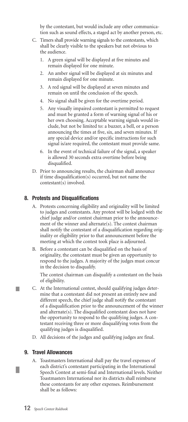by the contestant, but would include any other communication such as sound effects, a staged act by another person, etc.

- C. Timers shall provide warning signals to the contestants, which shall be clearly visible to the speakers but not obvious to the audience.
	- 1. A green signal will be displayed at five minutes and remain displayed for one minute.
	- 2. An amber signal will be displayed at six minutes and remain displayed for one minute.
	- 3. A red signal will be displayed at seven minutes and remain on until the conclusion of the speech.
	- 4. No signal shall be given for the overtime period.
	- 5. Any visually impaired contestant is permitted to request and must be granted a form of warning signal of his or her own choosing. Acceptable warning signals would include, but not be limited to: a buzzer, a bell, or a person announcing the times at five, six, and seven minutes. If any special device and/or specific instructions for such signal is/are required, the contestant must provide same.
	- 6. In the event of technical failure of the signal, a speaker is allowed 30 seconds extra overtime before being disqualified.
- D. Prior to announcing results, the chairman shall announce if time disqualification(s) occurred, but not name the contestant(s) involved.

#### **8. Protests and Disqualifications**

- A. Protests concerning eligibility and originality will be limited to judges and contestants. Any protest will be lodged with the chief judge and/or contest chairman prior to the announcement of the winner and alternate(s). The contest chairman shall notify the contestant of a disqualification regarding originality or eligibility prior to that announcement before the meeting at which the contest took place is adjourned.
- B. Before a contestant can be disqualified on the basis of originality, the contestant must be given an opportunity to respond to the judges. A majority of the judges must concur in the decision to disqualify.

The contest chairman can disqualify a contestant on the basis of eligibility.

- C. At the International contest, should qualifying judges determine that a contestant did not present an entirely new and different speech, the chief judge shall notify the contestant of a disqualification prior to the announcement of the winner and alternate(s). The disqualified contestant does not have the opportunity to respond to the qualifying judges. A contestant receiving three or more disqualifying votes from the qualifying judges is disqualified.
- D. All decisions of the judges and qualifying judges are final.

#### **9. Travel Allowances**

L.

A. Toastmasters International shall pay the travel expenses of each district's contestant participating in the International Speech Contest at semi-final and International levels. Neither Toastmasters International nor its districts shall reimburse these contestants for any other expenses. Reimbursement shall be as follows: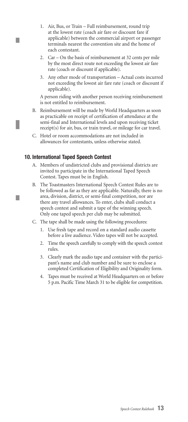- 1. Air, Bus, or Train Full reimbursement, round trip at the lowest rate (coach air fare or discount fare if applicable) between the commercial airport or passenger terminals nearest the convention site and the home of each contestant.
- 2. Car On the basis of reimbursement at 32 cents per mile by the most direct route not exceeding the lowest air fare rate (coach or discount if applicable).
- 3. Any other mode of transportation Actual costs incurred not exceeding the lowest air fare rate (coach or discount if applicable).

A person riding with another person receiving reimbursement is not entitled to reimbursement.

- B. Reimbursement will be made by World Headquarters as soon as practicable on receipt of certification of attendance at the semi-final and International levels and upon receiving ticket receipt(s) for air, bus, or train travel, or mileage for car travel.
- C. Hotel or room accommodations are not included in allowances for contestants, unless otherwise stated.

#### **10. International Taped Speech Contest**

П

L.

- A. Members of undistricted clubs and provisional districts are invited to participate in the International Taped Speech Contest. Tapes must be in English.
- B. The Toastmasters International Speech Contest Rules are to be followed as far as they are applicable. Naturally, there is no area, division, district, or semi-final competition, nor are there any travel allowances. To enter, clubs shall conduct a speech contest and submit a tape of the winning speech. Only one taped speech per club may be submitted.
- C. The tape shall be made using the following procedures:
	- 1. Use fresh tape and record on a standard audio cassette before a live audience. Video tapes will not be accepted.
	- 2. Time the speech carefully to comply with the speech contest rules.
	- 3. Clearly mark the audio tape and container with the participant's name and club number and be sure to enclose a completed Certification of Eligibility and Originality form.
	- 4. Tapes must be received at World Headquarters on or before 5 p.m. Pacific Time March 31 to be eligible for competition.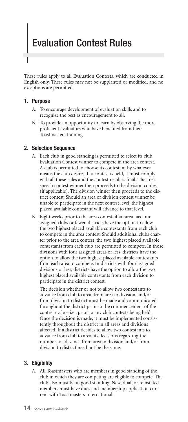## Evaluation Contest Rules

These rules apply to all Evaluation Contests, which are conducted in English only. These rules may not be supplanted or modified, and no exceptions are permitted.

#### **1. Purpose**

- A. To encourage development of evaluation skills and to recognize the best as encouragement to all.
- B. To provide an opportunity to learn by observing the more proficient evaluators who have benefited from their Toastmasters training.

#### **2. Selection Sequence**

- A. Each club in good standing is permitted to select its club Evaluation Contest winner to compete in the area contest. A club is permitted to choose its contestant by whatever means the club desires. If a contest is held, it must comply with all these rules and the contest result is final. The area speech contest winner then proceeds to the division contest (if applicable). The division winner then proceeds to the district contest. Should an area or division contest winner be unable to participate in the next contest level, the highest placed available contestant will advance to that level.
- B. Eight weeks prior to the area contest, if an area has four assigned clubs or fewer, districts have the option to allow the two highest placed available contestants from each club to compete in the area contest. Should additional clubs charter prior to the area contest, the two highest placed available contestants from each club are permitted to compete. In those divisions with four assigned areas or less, districts have the option to allow the two highest placed available contestants from each area to compete. In districts with four assigned divisions or less, districts have the option to allow the two highest placed available contestants from each division to participate in the district contest.

The decision whether or not to allow two contestants to advance from club to area, from area to division, and/or from division to district must be made and communicated throughout the district prior to the commencement of the contest cycle – i.e., prior to any club contests being held. Once the decision is made, it must be implemented consistently throughout the district in all areas and divisions affected. If a district decides to allow two contestants to advance from club to area, its decisions regarding the number to ad-vance from area to division and/or from division to district need not be the same.

#### **3. Eligibility**

A. All Toastmasters who are members in good standing of the club in which they are competing are eligible to compete. The club also must be in good standing. New, dual, or reinstated members must have dues and membership application current with Toastmasters International.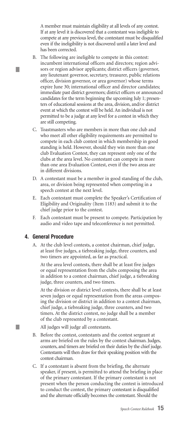A member must maintain eligibility at all levels of any contest. If at any level it is discovered that a contestant was ineligible to compete at any previous level, the contestant must be disqualified even if the ineligibility is not discovered until a later level and has been corrected.

- B. The following are ineligible to compete in this contest: incumbent international officers and directors; region advisors or region advisor applicants; district officers (governor, any lieutenant governor, secretary, treasurer, public relations officer, division governor, or area governor) whose terms expire June 30; international officer and director candidates; immediate past district governors; district officers or announced candidates for the term beginning the upcoming July 1; presenters of educational sessions at the area, division, and/or district event at which the contest will be held. An individual is not permitted to be a judge at any level for a contest in which they are still competing.
- C. Toastmasters who are members in more than one club and who meet all other eligibility requirements are permitted to compete in each club contest in which membership in good standing is held. However, should they win more than one club Evaluation Contest, they can represent only one of the clubs at the area level. No contestant can compete in more than one area Evaluation Contest, even if the two areas are in different divisions.
- D. A contestant must be a member in good standing of the club, area, or division being represented when competing in a speech contest at the next level.
- E. Each contestant must complete the Speaker's Certification of Eligibility and Originality (Item 1183) and submit it to the chief judge prior to the contest.
- F. Each contestant must be present to compete. Participation by audio and video tape and teleconference is not permitted.

#### **4. General Procedure**

L.

L.

A. At the club level contests, a contest chairman, chief judge, at least five judges, a tiebreaking judge, three counters, and two timers are appointed, as far as practical.

At the area level contests, there shall be at least five judges or equal representation from the clubs composing the area in addition to a contest chairman, chief judge, a tiebreaking judge, three counters, and two timers.

At the division or district level contests, there shall be at least seven judges or equal representation from the areas composing the division or district in addition to a contest chairman, chief judge, a tiebreaking judge, three counters, and two timers. At the district contest, no judge shall be a member of the club represented by a contestant.

All judges will judge all contestants.

- B. Before the contest, contestants and the contest sergeant at arms are briefed on the rules by the contest chairman. Judges, counters, and timers are briefed on their duties by the chief judge. Contestants will then draw for their speaking position with the contest chairman.
- C. If a contestant is absent from the briefing, the alternate speaker, if present, is permitted to attend the briefing in place of the primary contestant. If the primary contestant is not present when the person conducting the contest is introduced to conduct the contest, the primary contestant is disqualified and the alternate officially becomes the contestant. Should the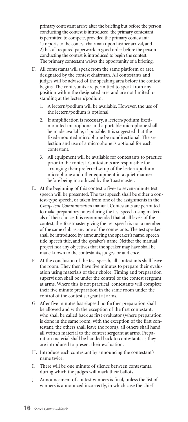primary contestant arrive after the briefing but before the person conducting the contest is introduced, the primary contestant is permitted to compete, provided the primary contestant: 1) reports to the contest chairman upon his/her arrival, and 2) has all required paperwork in good order before the person conducting the contest is introduced to begin the contest. The primary contestant waives the opportunity of a briefing.

- D. All contestants will speak from the same platform or area designated by the contest chairman. All contestants and judges will be advised of the speaking area before the contest begins. The contestants are permitted to speak from any position within the designated area and are not limited to standing at the lectern/podium.
	- 1. A lectern/podium will be available. However, the use of the lectern/podium is optional.
	- 2. If amplification is necessary, a lectern/podium fixedmounted microphone and a portable microphone shall be made available, if possible. It is suggested that the fixed-mounted microphone be nondirectional. The selection and use of a microphone is optional for each contestant.
	- 3. All equipment will be available for contestants to practice prior to the contest. Contestants are responsible for arranging their preferred setup of the lectern/podium microphone and other equipment in a quiet manner before being introduced by the Toastmaster.
- E. At the beginning of this contest a five- to seven-minute test speech will be presented. The test speech shall be either a contest-type speech, or taken from one of the assignments in the *Competent Communication* manual. Contestants are permitted to make preparatory notes during the test speech using materials of their choice. It is recommended that at all levels of the contest, the Toastmaster giving the test speech is not a member of the same club as any one of the contestants. The test speaker shall be introduced by announcing the speaker's name, speech title, speech title, and the speaker's name. Neither the manual project nor any objectives that the speaker may have shall be made known to the contestants, judges, or audience.
- F. At the conclusion of the test speech, all contestants shall leave the room. They then have five minutes to prepare their evaluation using materials of their choice. Timing and preparation supervision shall be under the control of the contest sergeant at arms. Where this is not practical, contestants will complete their five minute preparation in the same room under the control of the contest sergeant at arms.
- G. After five minutes has elapsed no further preparation shall be allowed and with the exception of the first contestant, who shall be called back as first evaluator (where preparation is done in the same room, with the exception of the first contestant, the others shall leave the room), all others shall hand all written material to the contest sergeant at arms. Preparation material shall be handed back to contestants as they are introduced to present their evaluation.
- H. Introduce each contestant by announcing the contestant's name twice.
- I. There will be one minute of silence between contestants, during which the judges will mark their ballots.
- J. Announcement of contest winners is final, unless the list of winners is announced incorrectly, in which case the chief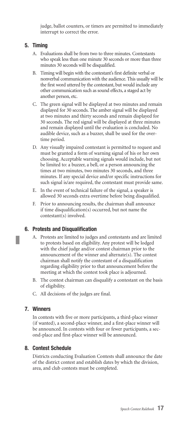judge, ballot counters, or timers are permitted to immediately interrupt to correct the error.

#### **5. Timing**

- A. Evaluations shall be from two to three minutes. Contestants who speak less than one minute 30 seconds or more than three minutes 30 seconds will be disqualified.
- B. Timing will begin with the contestant's first definite verbal or nonverbal communication with the audience. This usually will be the first word uttered by the contestant, but would include any other communication such as sound effects, a staged act by another person, etc.
- C. The green signal will be displayed at two minutes and remain displayed for 30 seconds. The amber signal will be displayed at two minutes and thirty seconds and remain displayed for 30 seconds. The red signal will be displayed at three minutes and remain displayed until the evaluation is concluded. No audible device, such as a buzzer, shall be used for the overtime period.
- D. Any visually impaired contestant is permitted to request and must be granted a form of warning signal of his or her own choosing. Acceptable warning signals would include, but not be limited to: a buzzer, a bell, or a person announcing the times at two minutes, two minutes 30 seconds, and three minutes. If any special device and/or specific instructions for such signal is/are required, the contestant must provide same.
- E. In the event of technical failure of the signal, a speaker is allowed 30 seconds extra overtime before being disqualified.
- F. Prior to announcing results, the chairman shall announce if time disqualification(s) occurred, but not name the contestant(s) involved.

#### **6. Protests and Disqualification**

- A. Protests are limited to judges and contestants and are limited to protests based on eligibility. Any protest will be lodged with the chief judge and/or contest chairman prior to the announcement of the winner and alternate(s). The contest chairman shall notify the contestant of a disqualification regarding eligibility prior to that announcement before the meeting at which the contest took place is adjourned.
- B. The contest chairman can disqualify a contestant on the basis of eligibility.
- C. All decisions of the judges are final.

#### **7. Winners**

In contests with five or more participants, a third-place winner (if wanted), a second-place winner, and a first-place winner will be announced. In contests with four or fewer participants, a second-place and first-place winner will be announced.

#### **8. Contest Schedule**

Districts conducting Evaluation Contests shall announce the date of the district contest and establish dates by which the division, area, and club contests must be completed.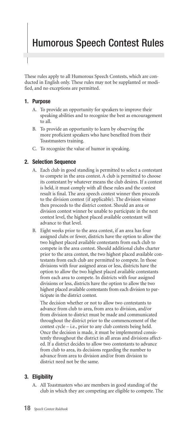## Humorous Speech Contest Rules

These rules apply to all Humorous Speech Contests, which are conducted in English only. These rules may not be supplanted or modified, and no exceptions are permitted.

#### **1. Purpose**

- A. To provide an opportunity for speakers to improve their speaking abilities and to recognize the best as encouragement to all.
- B. To provide an opportunity to learn by observing the more proficient speakers who have benefited from their Toastmasters training.
- C. To recognize the value of humor in speaking.

#### **2. Selection Sequence**

- A. Each club in good standing is permitted to select a contestant to compete in the area contest. A club is permitted to choose its contestant by whatever means the club desires. If a contest is held, it must comply with all these rules and the contest result is final. The area speech contest winner then proceeds to the division contest (if applicable). The division winner then proceeds to the district contest. Should an area or division contest winner be unable to participate in the next contest level, the highest placed available contestant will advance to that level.
- B. Eight weeks prior to the area contest, if an area has four assigned clubs or fewer, districts have the option to allow the two highest placed available contestants from each club to compete in the area contest. Should additional clubs charter prior to the area contest, the two highest placed available contestants from each club are permitted to compete. In those divisions with four assigned areas or less, districts have the option to allow the two highest placed available contestants from each area to compete. In districts with four assigned divisions or less, districts have the option to allow the two highest placed available contestants from each division to participate in the district contest.

The decision whether or not to allow two contestants to advance from club to area, from area to division, and/or from division to district must be made and communicated throughout the district prior to the commencement of the contest cycle – i.e., prior to any club contests being held. Once the decision is made, it must be implemented consistently throughout the district in all areas and divisions affected. If a district decides to allow two contestants to advance from club to area, its decisions regarding the number to advance from area to division and/or from division to district need not be the same.

#### **3. Eligibility**

A. All Toastmasters who are members in good standing of the club in which they are competing are eligible to compete. The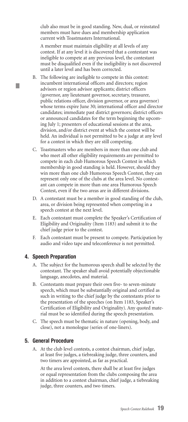club also must be in good standing. New, dual, or reinstated members must have dues and membership application current with Toastmasters International.

A member must maintain eligibility at all levels of any contest. If at any level it is discovered that a contestant was ineligible to compete at any previous level, the contestant must be disqualified even if the ineligibility is not discovered until a later level and has been corrected.

- B. The following are ineligible to compete in this contest: incumbent international officers and directors; region advisors or region advisor applicants; district officers (governor, any lieutenant governor, secretary, treasurer, public relations officer, division governor, or area governor) whose terms expire June 30; international officer and director candidates; immediate past district governors; district officers or announced candidates for the term beginning the upcoming July 1; presenters of educational sessions at the area, division, and/or district event at which the contest will be held. An individual is not permitted to be a judge at any level for a contest in which they are still competing.
- C. Toastmasters who are members in more than one club and who meet all other eligibility requirements are permitted to compete in each club Humorous Speech Contest in which membership in good standing is held. However, should they win more than one club Humorous Speech Contest, they can represent only one of the clubs at the area level. No contestant can compete in more than one area Humorous Speech Contest, even if the two areas are in different divisions.
- D. A contestant must be a member in good standing of the club, area, or division being represented when competing in a speech contest at the next level.
- E. Each contestant must complete the Speaker's Certification of Eligibility and Originality (Item 1183) and submit it to the chief judge prior to the contest.
- F. Each contestant must be present to compete. Participation by audio and video tape and teleconference is not permitted.

#### **4. Speech Preparation**

П

- A. The subject for the humorous speech shall be selected by the contestant. The speaker shall avoid potentially objectionable language, anecdotes, and material.
- B. Contestants must prepare their own five- to seven-minute speech, which must be substantially original and certified as such in writing to the chief judge by the contestants prior to the presentation of the speeches (on Item 1183, Speaker's Certification of Eligibility and Originality). Any quoted material must be so identified during the speech presentation.
- C. The speech must be thematic in nature (opening, body, and close), not a monologue (series of one-liners).

#### **5. General Procedure**

A. At the club level contests, a contest chairman, chief judge, at least five judges, a tiebreaking judge, three counters, and two timers are appointed, as far as practical.

At the area level contests, there shall be at least five judges or equal representation from the clubs composing the area in addition to a contest chairman, chief judge, a tiebreaking judge, three counters, and two timers.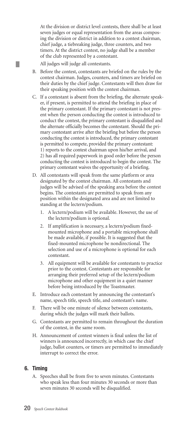At the division or district level contests, there shall be at least seven judges or equal representation from the areas composing the division or district in addition to a contest chairman, chief judge, a tiebreaking judge, three counters, and two timers. At the district contest, no judge shall be a member of the club represented by a contestant.

All judges will judge all contestants.

L.

- B. Before the contest, contestants are briefed on the rules by the contest chairman. Judges, counters, and timers are briefed on their duties by the chief judge. Contestants will then draw for their speaking position with the contest chairman.
- C. If a contestant is absent from the briefing, the alternate speaker, if present, is permitted to attend the briefing in place of the primary contestant. If the primary contestant is not present when the person conducting the contest is introduced to conduct the contest, the primary contestant is disqualified and the alternate officially becomes the contestant. Should the primary contestant arrive after the briefing but before the person conducting the contest is introduced, the primary contestant is permitted to compete, provided the primary contestant: 1) reports to the contest chairman upon his/her arrival, and 2) has all required paperwork in good order before the person conducting the contest is introduced to begin the contest. The primary contestant waives the opportunity of a briefing.
- D. All contestants will speak from the same platform or area designated by the contest chairman. All contestants and judges will be advised of the speaking area before the contest begins. The contestants are permitted to speak from any position within the designated area and are not limited to standing at the lectern/podium.
	- 1. A lectern/podium will be available. However, the use of the lectern/podium is optional.
	- 2. If amplification is necessary, a lectern/podium fixedmounted microphone and a portable microphone shall be made available, if possible. It is suggested that the fixed-mounted microphone be nondirectional. The selection and use of a microphone is optional for each contestant.
	- 3. All equipment will be available for contestants to practice prior to the contest. Contestants are responsible for arranging their preferred setup of the lectern/podium microphone and other equipment in a quiet manner before being introduced by the Toastmaster.
- E. Introduce each contestant by announcing the contestant's name, speech title, speech title, and contestant's name.
- F. There will be one minute of silence between contestants, during which the judges will mark their ballots.
- G. Contestants are permitted to remain throughout the duration of the contest, in the same room.
- H. Announcement of contest winners is final unless the list of winners is announced incorrectly, in which case the chief judge, ballot counters, or timers are permitted to immediately interrupt to correct the error.

#### **6. Timing**

A. Speeches shall be from five to seven minutes. Contestants who speak less than four minutes 30 seconds or more than seven minutes 30 seconds will be disqualified.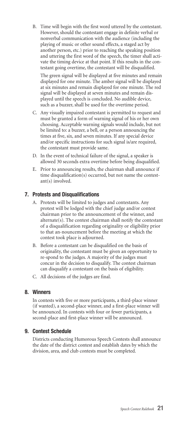B. Time will begin with the first word uttered by the contestant. However, should the contestant engage in definite verbal or nonverbal communication with the audience (including the playing of music or other sound effects, a staged act by another person, etc.) prior to reaching the speaking position and uttering the first word of the speech, the timer shall activate the timing device at that point. If this results in the contestant going overtime, the contestant will be disqualified.

The green signal will be displayed at five minutes and remain displayed for one minute. The amber signal will be displayed at six minutes and remain displayed for one minute. The red signal will be displayed at seven minutes and remain displayed until the speech is concluded. No audible device, such as a buzzer, shall be used for the overtime period.

- C. Any visually impaired contestant is permitted to request and must be granted a form of warning signal of his or her own choosing. Acceptable warning signals would include, but not be limited to: a buzzer, a bell, or a person announcing the times at five, six, and seven minutes. If any special device and/or specific instructions for such signal is/are required, the contestant must provide same.
- D. In the event of technical failure of the signal, a speaker is allowed 30 seconds extra overtime before being disqualified.
- E. Prior to announcing results, the chairman shall announce if time disqualification(s) occurred, but not name the contestant(s) involved.

#### **7. Protests and Disqualifications**

- A. Protests will be limited to judges and contestants. Any protest will be lodged with the chief judge and/or contest chairman prior to the announcement of the winner, and alternate(s). The contest chairman shall notify the contestant of a disqualification regarding originality or eligibility prior to that an-nouncement before the meeting at which the contest took place is adjourned.
- B. Before a contestant can be disqualified on the basis of originality, the contestant must be given an opportunity to re-spond to the judges. A majority of the judges must concur in the decision to disqualify. The contest chairman can disqualify a contestant on the basis of eligibility.
- C. All decisions of the judges are final.

#### **8. Winners**

In contests with five or more participants, a third-place winner (if wanted), a second-place winner, and a first-place winner will be announced. In contests with four or fewer participants, a second-place and first-place winner will be announced.

#### **9. Contest Schedule**

Districts conducting Humorous Speech Contests shall announce the date of the district contest and establish dates by which the division, area, and club contests must be completed.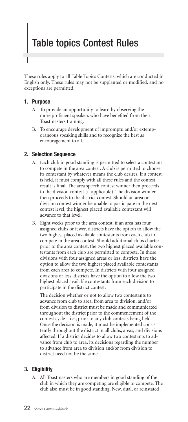## Table topics Contest Rules

These rules apply to all Table Topics Contests, which are conducted in English only. These rules may not be supplanted or modified, and no exceptions are permitted.

#### **1. Purpose**

- A. To provide an opportunity to learn by observing the more proficient speakers who have benefited from their Toastmasters training.
- B. To encourage development of impromptu and/or extemporaneous speaking skills and to recognize the best as encouragement to all.

#### **2. Selection Sequence**

- A. Each club in good standing is permitted to select a contestant to compete in the area contest. A club is permitted to choose its contestant by whatever means the club desires. If a contest is held, it must comply with all these rules and the contest result is final. The area speech contest winner then proceeds to the division contest (if applicable). The division winner then proceeds to the district contest. Should an area or division contest winner be unable to participate in the next contest level, the highest placed available contestant will advance to that level.
- B. Eight weeks prior to the area contest, if an area has four assigned clubs or fewer, districts have the option to allow the two highest placed available contestants from each club to compete in the area contest. Should additional clubs charter prior to the area contest, the two highest placed available contestants from each club are permitted to compete. In those divisions with four assigned areas or less, districts have the option to allow the two highest placed available contestants from each area to compete. In districts with four assigned divisions or less, districts have the option to allow the two highest placed available contestants from each division to participate in the district contest.

The decision whether or not to allow two contestants to advance from club to area, from area to division, and/or from division to district must be made and communicated throughout the district prior to the commencement of the contest cycle – i.e., prior to any club contests being held. Once the decision is made, it must be implemented consistently throughout the district in all clubs, areas, and divisions affected. If a district decides to allow two contestants to advance from club to area, its decisions regarding the number to advance from area to division and/or from division to district need not be the same.

#### **3. Eligibility**

A. All Toastmasters who are members in good standing of the club in which they are competing are eligible to compete. The club also must be in good standing. New, dual, or reinstated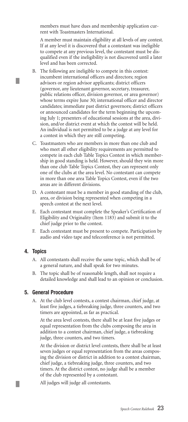members must have dues and membership application current with Toastmasters International.

A member must maintain eligibility at all levels of any contest. If at any level it is discovered that a contestant was ineligible to compete at any previous level, the contestant must be disqualified even if the ineligibility is not discovered until a later level and has been corrected.

- B. The following are ineligible to compete in this contest: incumbent international officers and directors; region advisors or region advisor applicants; district officers (governor, any lieutenant governor, secretary, treasurer, public relations officer, division governor, or area governor) whose terms expire June 30; international officer and director candidates; immediate past district governors; district officers or announced candidates for the term beginning the upcoming July 1; presenters of educational sessions at the area, division, and/or district event at which the contest will be held. An individual is not permitted to be a judge at any level for a contest in which they are still competing.
- C. Toastmasters who are members in more than one club and who meet all other eligibility requirements are permitted to compete in each club Table Topics Contest in which membership in good standing is held. However, should they win more than one club Table Topics Contest, they can represent only one of the clubs at the area level. No contestant can compete in more than one area Table Topics Contest, even if the two areas are in different divisions.
- D. A contestant must be a member in good standing of the club, area, or division being represented when competing in a speech contest at the next level.
- E. Each contestant must complete the Speaker's Certification of Eligibility and Originality (Item 1183) and submit it to the chief judge prior to the contest.
- F. Each contestant must be present to compete. Participation by audio and video tape and teleconference is not permitted.

#### **4. Topics**

Ш

L.

- A. All contestants shall receive the same topic, which shall be of a general nature, and shall speak for two minutes.
- B. The topic shall be of reasonable length, shall not require a detailed knowledge and shall lead to an opinion or conclusion.

#### **5. General Procedure**

A. At the club level contests, a contest chairman, chief judge, at least five judges, a tiebreaking judge, three counters, and two timers are appointed, as far as practical.

At the area level contests, there shall be at least five judges or equal representation from the clubs composing the area in addition to a contest chairman, chief judge, a tiebreaking judge, three counters, and two timers.

At the division or district level contests, there shall be at least seven judges or equal representation from the areas composing the division or district in addition to a contest chairman, chief judge, a tiebreaking judge, three counters, and two timers. At the district contest, no judge shall be a member of the club represented by a contestant.

All judges will judge all contestants.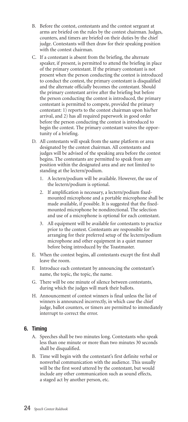- B. Before the contest, contestants and the contest sergeant at arms are briefed on the rules by the contest chairman. Judges, counters, and timers are briefed on their duties by the chief judge. Contestants will then draw for their speaking position with the contest chairman.
- C. If a contestant is absent from the briefing, the alternate speaker, if present, is permitted to attend the briefing in place of the primary contestant. If the primary contestant is not present when the person conducting the contest is introduced to conduct the contest, the primary contestant is disqualified and the alternate officially becomes the contestant. Should the primary contestant arrive after the briefing but before the person conducting the contest is introduced, the primary contestant is permitted to compete, provided the primary contestant: 1) reports to the contest chairman upon his/her arrival, and 2) has all required paperwork in good order before the person conducting the contest is introduced to begin the contest. The primary contestant waives the opportunity of a briefing.
- D. All contestants will speak from the same platform or area designated by the contest chairman. All contestants and judges will be advised of the speaking area before the contest begins. The contestants are permitted to speak from any position within the designated area and are not limited to standing at the lectern/podium.
	- 1. A lectern/podium will be available. However, the use of the lectern/podium is optional.
	- 2. If amplification is necessary, a lectern/podium fixedmounted microphone and a portable microphone shall be made available, if possible. It is suggested that the fixedmounted microphone be nondirectional. The selection and use of a microphone is optional for each contestant.
	- 3. All equipment will be available for contestants to practice prior to the contest. Contestants are responsible for arranging for their preferred setup of the lectern/podium microphone and other equipment in a quiet manner before being introduced by the Toastmaster.
- E. When the contest begins, all contestants except the first shall leave the room.
- F. Introduce each contestant by announcing the contestant's name, the topic, the topic, the name.
- G. There will be one minute of silence between contestants, during which the judges will mark their ballots.
- H. Announcement of contest winners is final unless the list of winners is announced incorrectly, in which case the chief judge, ballot counters, or timers are permitted to immediately interrupt to correct the error.

#### **6. Timing**

- A. Speeches shall be two minutes long. Contestants who speak less than one minute or more than two minutes 30 seconds shall be disqualified.
- B. Time will begin with the contestant's first definite verbal or nonverbal communication with the audience. This usually will be the first word uttered by the contestant, but would include any other communication such as sound effects, a staged act by another person, etc.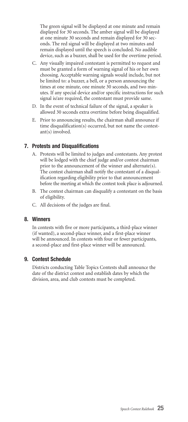The green signal will be displayed at one minute and remain displayed for 30 seconds. The amber signal will be displayed at one minute 30 seconds and remain displayed for 30 seconds. The red signal will be displayed at two minutes and remain displayed until the speech is concluded. No audible device, such as a buzzer, shall be used for the overtime period.

- C. Any visually impaired contestant is permitted to request and must be granted a form of warning signal of his or her own choosing. Acceptable warning signals would include, but not be limited to: a buzzer, a bell, or a person announcing the times at one minute, one minute 30 seconds, and two minutes. If any special device and/or specific instructions for such signal is/are required, the contestant must provide same.
- D. In the event of technical failure of the signal, a speaker is allowed 30 seconds extra overtime before being disqualified.
- E. Prior to announcing results, the chairman shall announce if time disqualification(s) occurred, but not name the contestant(s) involved.

#### **7. Protests and Disqualifications**

- A. Protests will be limited to judges and contestants. Any protest will be lodged with the chief judge and/or contest chairman prior to the announcement of the winner and alternate(s). The contest chairman shall notify the contestant of a disqualification regarding eligibility prior to that announcement before the meeting at which the contest took place is adjourned.
- B. The contest chairman can disqualify a contestant on the basis of eligibility.
- C. All decisions of the judges are final.

#### **8. Winners**

In contests with five or more participants, a third-place winner (if wanted), a second-place winner, and a first-place winner will be announced. In contests with four or fewer participants, a second-place and first-place winner will be announced.

#### **9. Contest Schedule**

Districts conducting Table Topics Contests shall announce the date of the district contest and establish dates by which the division, area, and club contests must be completed.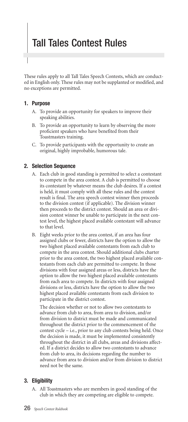## Tall Tales Contest Rules

These rules apply to all Tall Tales Speech Contests, which are conducted in English only. These rules may not be supplanted or modified, and no exceptions are permitted.

#### **1. Purpose**

- A. To provide an opportunity for speakers to improve their speaking abilities.
- B. To provide an opportunity to learn by observing the more proficient speakers who have benefited from their Toastmasters training.
- C. To provide participants with the opportunity to create an original, highly improbable, humorous tale.

#### **2. Selection Sequence**

- A. Each club in good standing is permitted to select a contestant to compete in the area contest. A club is permitted to choose its contestant by whatever means the club desires. If a contest is held, it must comply with all these rules and the contest result is final. The area speech contest winner then proceeds to the division contest (if applicable). The division winner then proceeds to the district contest. Should an area or division contest winner be unable to participate in the next contest level, the highest placed available contestant will advance to that level.
- B. Eight weeks prior to the area contest, if an area has four assigned clubs or fewer, districts have the option to allow the two highest placed available contestants from each club to compete in the area contest. Should additional clubs charter prior to the area contest, the two highest placed available contestants from each club are permitted to compete. In those divisions with four assigned areas or less, districts have the option to allow the two highest placed available contestants from each area to compete. In districts with four assigned divisions or less, districts have the option to allow the two highest placed available contestants from each division to participate in the district contest.

The decision whether or not to allow two contestants to advance from club to area, from area to division, and/or from division to district must be made and communicated throughout the district prior to the commencement of the contest cycle – i.e., prior to any club contests being held. Once the decision is made, it must be implemented consistently throughout the district in all clubs, areas and divisions affected. If a district decides to allow two contestants to advance from club to area, its decisions regarding the number to advance from area to division and/or from division to district need not be the same.

#### **3. Eligibility**

A. All Toastmasters who are members in good standing of the club in which they are competing are eligible to compete.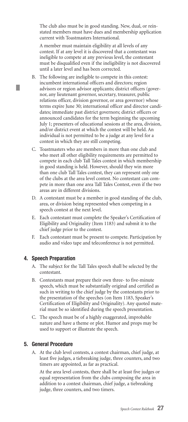The club also must be in good standing. New, dual, or reinstated members must have dues and membership application current with Toastmasters International.

A member must maintain eligibility at all levels of any contest. If at any level it is discovered that a contestant was ineligible to compete at any previous level, the contestant must be disqualified even if the ineligibility is not discovered until a later level and has been corrected.

- B. The following are ineligible to compete in this contest: incumbent international officers and directors; region advisors or region advisor applicants; district officers (governor, any lieutenant governor, secretary, treasurer, public relations officer, division governor, or area governor) whose terms expire June 30; international officer and director candidates; immediate past district governors; district officers or announced candidates for the term beginning the upcoming July 1; presenters of educational sessions at the area, division, and/or district event at which the contest will be held. An individual is not permitted to be a judge at any level for a contest in which they are still competing.
- C. Toastmasters who are members in more than one club and who meet all other eligibility requirements are permitted to compete in each club Tall Tales contest in which membership in good standing is held. However, should they win more than one club Tall Tales contest, they can represent only one of the clubs at the area level contest. No contestant can compete in more than one area Tall Tales Contest, even if the two areas are in different divisions.
- D. A contestant must be a member in good standing of the club, area, or division being represented when competing in a speech contest at the next level.
- E. Each contestant must complete the Speaker's Certification of Eligibility and Originality (Item 1183) and submit it to the chief judge prior to the contest.
- F. Each contestant must be present to compete. Participation by audio and video tape and teleconference is not permitted.

#### **4. Speech Preparation**

- A. The subject for the Tall Tales speech shall be selected by the contestant.
- B. Contestants must prepare their own three- to five-minute speech, which must be substantially original and certified as such in writing to the chief judge by the contestants prior to the presentation of the speeches (on Item 1183, Speaker's Certification of Eligibility and Originality). Any quoted material must be so identified during the speech presentation.
- C. The speech must be of a highly exaggerated, improbable nature and have a theme or plot. Humor and props may be used to support or illustrate the speech.

#### **5. General Procedure**

A. At the club level contests, a contest chairman, chief judge, at least five judges, a tiebreaking judge, three counters, and two timers are appointed, as far as practical.

At the area level contests, there shall be at least five judges or equal representation from the clubs composing the area in addition to a contest chairman, chief judge, a tiebreaking judge, three counters, and two timers.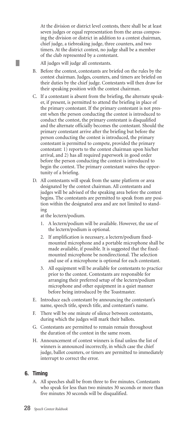At the division or district level contests, there shall be at least seven judges or equal representation from the areas composing the division or district in addition to a contest chairman, chief judge, a tiebreaking judge, three counters, and two timers. At the district contest, no judge shall be a member of the club represented by a contestant.

All judges will judge all contestants.

L.

- B. Before the contest, contestants are briefed on the rules by the contest chairman. Judges, counters, and timers are briefed on their duties by the chief judge. Contestants will then draw for their speaking position with the contest chairman.
- C. If a contestant is absent from the briefing, the alternate speaker, if present, is permitted to attend the briefing in place of the primary contestant. If the primary contestant is not present when the person conducting the contest is introduced to conduct the contest, the primary contestant is disqualified and the alternate officially becomes the contestant. Should the primary contestant arrive after the briefing but before the person conducting the contest is introduced, the primary contestant is permitted to compete, provided the primary contestant: 1) reports to the contest chairman upon his/her arrival, and 2) has all required paperwork in good order before the person conducting the contest is introduced to begin the contest. The primary contestant waives the opportunity of a briefing.
- D. All contestants will speak from the same platform or area designated by the contest chairman. All contestants and judges will be advised of the speaking area before the contest begins. The contestants are permitted to speak from any position within the designated area and are not limited to standing

at the lectern/podium.

- 1. A lectern/podium will be available. However, the use of the lectern/podium is optional.
- 2. If amplification is necessary, a lectern/podium fixedmounted microphone and a portable microphone shall be made available, if possible. It is suggested that the fixedmounted microphone be nondirectional. The selection and use of a microphone is optional for each contestant.
- 3. All equipment will be available for contestants to practice prior to the contest. Contestants are responsible for arranging their preferred setup of the lectern/podium microphone and other equipment in a quiet manner before being introduced by the Toastmaster.
- E. Introduce each contestant by announcing the contestant's name, speech title, speech title, and contestant's name.
- F. There will be one minute of silence between contestants, during which the judges will mark their ballots.
- G. Contestants are permitted to remain remain throughout the duration of the contest in the same room.
- H. Announcement of contest winners is final unless the list of winners is announced incorrectly, in which case the chief judge, ballot counters, or timers are permitted to immediately interrupt to correct the error.

#### **6. Timing**

A. All speeches shall be from three to five minutes. Contestants who speak for less than two minutes 30 seconds or more than five minutes 30 seconds will be disqualified.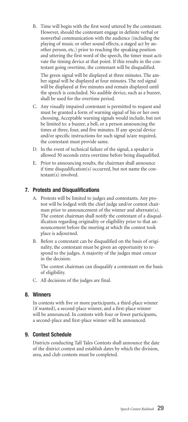B. Time will begin with the first word uttered by the contestant. However, should the contestant engage in definite verbal or nonverbal communication with the audience (including the playing of music or other sound effects, a staged act by another person, etc.) prior to reaching the speaking position and uttering the first word of the speech, the timer must activate the timing device at that point. If this results in the contestant going overtime, the contestant will be disqualified.

The green signal will be displayed at three minutes. The amber signal will be displayed at four minutes. The red signal will be displayed at five minutes and remain displayed until the speech is concluded. No audible device, such as a buzzer, shall be used for the overtime period.

- C. Any visually impaired contestant is permitted to request and must be granted a form of warning signal of his or her own choosing. Acceptable warning signals would include, but not be limited to: a buzzer, a bell, or a person announcing the times at three, four, and five minutes. If any special device and/or specific instructions for such signal is/are required, the contestant must provide same.
- D. In the event of technical failure of the signal, a speaker is allowed 30 seconds extra overtime before being disqualified.
- E. Prior to announcing results, the chairman shall announce if time disqualification(s) occurred, but not name the contestant(s) involved.

#### **7. Protests and Disqualifications**

- A. Protests will be limited to judges and contestants. Any protest will be lodged with the chief judge and/or contest chairman prior to announcement of the winner and alternate(s). The contest chairman shall notify the contestant of a disqualification regarding originality or eligibility prior to that announcement before the meeting at which the contest took place is adjourned.
- B. Before a contestant can be disqualified on the basis of originality, the contestant must be given an opportunity to respond to the judges. A majority of the judges must concur in the decision.

The contest chairman can disqualify a contestant on the basis of eligibility.

C. All decisions of the judges are final.

#### **8. Winners**

In contests with five or more participants, a third-place winner (if wanted), a second-place winner, and a first-place winner will be announced. In contests with four or fewer participants, a second-place and first-place winner will be announced.

#### **9. Contest Schedule**

Districts conducting Tall Tales Contests shall announce the date of the district contest and establish dates by which the division, area, and club contests must be completed.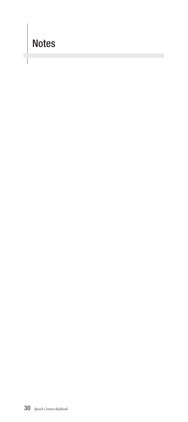## Notes

Ľ